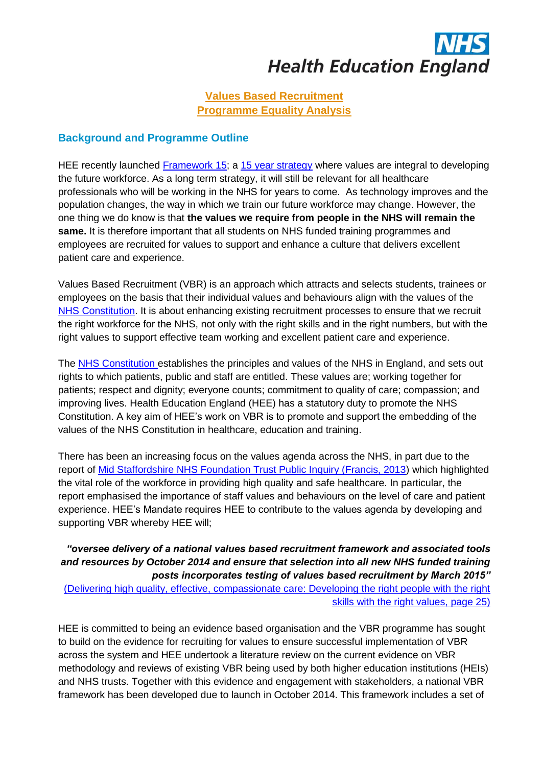

## **Values Based Recruitment Programme Equality Analysis**

#### **Background and Programme Outline**

HEE recently launched [Framework 15;](http://hee.nhs.uk/2014/06/03/framework-15-health-education-england-strategic-framework-2014-29/) a 15 year strategy where values are integral to developing the future workforce. As a long term strategy, it will still be relevant for all healthcare professionals who will be working in the NHS for years to come. As technology improves and the population changes, the way in which we train our future workforce may change. However, the one thing we do know is that **the values we require from people in the NHS will remain the same.** It is therefore important that all students on NHS funded training programmes and employees are recruited for values to support and enhance a culture that delivers excellent patient care and experience.

Values Based Recruitment (VBR) is an approach which attracts and selects students, trainees or employees on the basis that their individual values and behaviours align with the values of the [NHS Constitution.](http://www.nhs.uk/choiceintheNHS/Rightsandpledges/NHSConstitution/Pages/Overview.aspx) It is about enhancing existing recruitment processes to ensure that we recruit the right workforce for the NHS, not only with the right skills and in the right numbers, but with the right values to support effective team working and excellent patient care and experience.

The [NHS Constitution](http://www.nhs.uk/choiceintheNHS/Rightsandpledges/NHSConstitution/Pages/Overview.aspx) establishes the principles and values of the NHS in England, and sets out rights to which patients, public and staff are entitled. These values are; working together for patients; respect and dignity; everyone counts; commitment to quality of care; compassion; and improving lives. Health Education England (HEE) has a statutory duty to promote the NHS Constitution. A key aim of HEE's work on VBR is to promote and support the embedding of the values of the NHS Constitution in healthcare, education and training.

There has been an increasing focus on the values agenda across the NHS, in part due to the report of [Mid Staffordshire NHS Foundation Trust Public Inquiry \(Francis, 2013\)](http://www.midstaffspublicinquiry.com/report) which highlighted the vital role of the workforce in providing high quality and safe healthcare. In particular, the report emphasised the importance of staff values and behaviours on the level of care and patient experience. HEE's Mandate requires HEE to contribute to the values agenda by developing and supporting VBR whereby HEE will;

#### *"oversee delivery of a national values based recruitment framework and associated tools and resources by October 2014 and ensure that selection into all new NHS funded training posts incorporates testing of values based recruitment by March 2015"*

[\(Delivering high quality, effective, compassionate care: Developing the right people with the right](https://www.gov.uk/government/publications/health-education-england-mandate-april-2014-to-march-2015)  [skills with the right values, page 25\)](https://www.gov.uk/government/publications/health-education-england-mandate-april-2014-to-march-2015)

HEE is committed to being an evidence based organisation and the VBR programme has sought to build on the evidence for recruiting for values to ensure successful implementation of VBR across the system and HEE undertook a literature review on the current evidence on VBR methodology and reviews of existing VBR being used by both higher education institutions (HEIs) and NHS trusts. Together with this evidence and engagement with stakeholders, a national VBR framework has been developed due to launch in October 2014. This framework includes a set of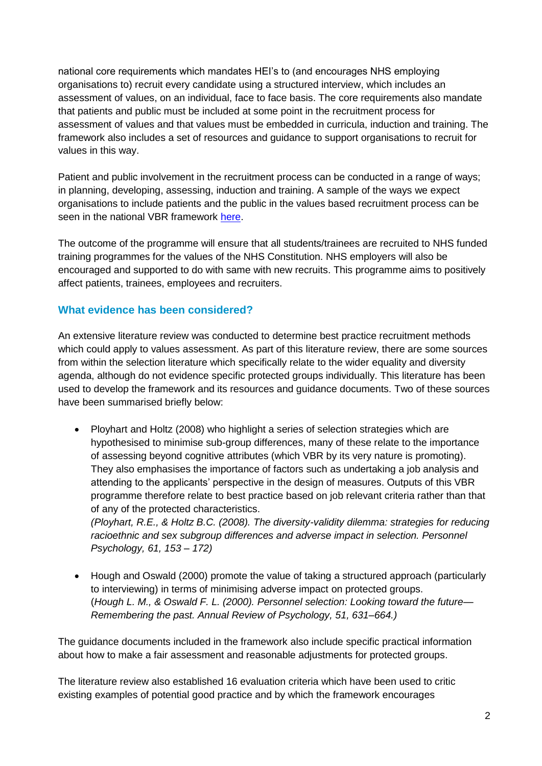national core requirements which mandates HEI's to (and encourages NHS employing organisations to) recruit every candidate using a structured interview, which includes an assessment of values, on an individual, face to face basis. The core requirements also mandate that patients and public must be included at some point in the recruitment process for assessment of values and that values must be embedded in curricula, induction and training. The framework also includes a set of resources and guidance to support organisations to recruit for values in this way.

Patient and public involvement in the recruitment process can be conducted in a range of ways; in planning, developing, assessing, induction and training. A sample of the ways we expect organisations to include patients and the public in the values based recruitment process can be seen in the national VBR framework [here.](http://hee.nhs.uk/wp-content/blogs.dir/321/files/2014/10/VBR-Framework.pdf)

The outcome of the programme will ensure that all students/trainees are recruited to NHS funded training programmes for the values of the NHS Constitution. NHS employers will also be encouraged and supported to do with same with new recruits. This programme aims to positively affect patients, trainees, employees and recruiters.

## **What evidence has been considered?**

An extensive literature review was conducted to determine best practice recruitment methods which could apply to values assessment. As part of this literature review, there are some sources from within the selection literature which specifically relate to the wider equality and diversity agenda, although do not evidence specific protected groups individually. This literature has been used to develop the framework and its resources and guidance documents. Two of these sources have been summarised briefly below:

• Ployhart and Holtz (2008) who highlight a series of selection strategies which are hypothesised to minimise sub-group differences, many of these relate to the importance of assessing beyond cognitive attributes (which VBR by its very nature is promoting). They also emphasises the importance of factors such as undertaking a job analysis and attending to the applicants' perspective in the design of measures. Outputs of this VBR programme therefore relate to best practice based on job relevant criteria rather than that of any of the protected characteristics.

*(Ployhart, R.E., & Holtz B.C. (2008). The diversity-validity dilemma: strategies for reducing racioethnic and sex subgroup differences and adverse impact in selection. Personnel Psychology, 61, 153 – 172)*

 Hough and Oswald (2000) promote the value of taking a structured approach (particularly to interviewing) in terms of minimising adverse impact on protected groups. (*Hough L. M., & Oswald F. L. (2000). Personnel selection: Looking toward the future— Remembering the past. Annual Review of Psychology, 51, 631–664.)*

The guidance documents included in the framework also include specific practical information about how to make a fair assessment and reasonable adjustments for protected groups.

The literature review also established 16 evaluation criteria which have been used to critic existing examples of potential good practice and by which the framework encourages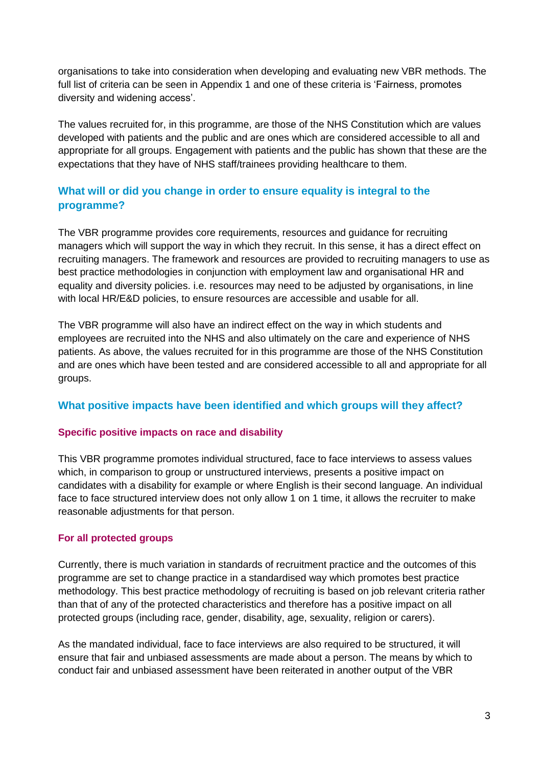organisations to take into consideration when developing and evaluating new VBR methods. The full list of criteria can be seen in Appendix 1 and one of these criteria is 'Fairness, promotes diversity and widening access'.

The values recruited for, in this programme, are those of the NHS Constitution which are values developed with patients and the public and are ones which are considered accessible to all and appropriate for all groups. Engagement with patients and the public has shown that these are the expectations that they have of NHS staff/trainees providing healthcare to them.

## **What will or did you change in order to ensure equality is integral to the programme?**

The VBR programme provides core requirements, resources and guidance for recruiting managers which will support the way in which they recruit. In this sense, it has a direct effect on recruiting managers. The framework and resources are provided to recruiting managers to use as best practice methodologies in conjunction with employment law and organisational HR and equality and diversity policies. i.e. resources may need to be adjusted by organisations, in line with local HR/E&D policies, to ensure resources are accessible and usable for all.

The VBR programme will also have an indirect effect on the way in which students and employees are recruited into the NHS and also ultimately on the care and experience of NHS patients. As above, the values recruited for in this programme are those of the NHS Constitution and are ones which have been tested and are considered accessible to all and appropriate for all groups.

## **What positive impacts have been identified and which groups will they affect?**

#### **Specific positive impacts on race and disability**

This VBR programme promotes individual structured, face to face interviews to assess values which, in comparison to group or unstructured interviews, presents a positive impact on candidates with a disability for example or where English is their second language. An individual face to face structured interview does not only allow 1 on 1 time, it allows the recruiter to make reasonable adjustments for that person.

## **For all protected groups**

Currently, there is much variation in standards of recruitment practice and the outcomes of this programme are set to change practice in a standardised way which promotes best practice methodology. This best practice methodology of recruiting is based on job relevant criteria rather than that of any of the protected characteristics and therefore has a positive impact on all protected groups (including race, gender, disability, age, sexuality, religion or carers).

As the mandated individual, face to face interviews are also required to be structured, it will ensure that fair and unbiased assessments are made about a person. The means by which to conduct fair and unbiased assessment have been reiterated in another output of the VBR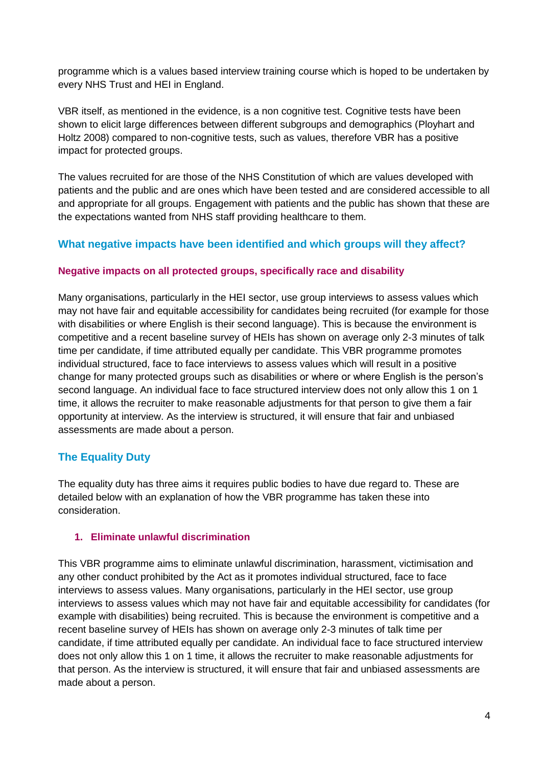programme which is a values based interview training course which is hoped to be undertaken by every NHS Trust and HEI in England.

VBR itself, as mentioned in the evidence, is a non cognitive test. Cognitive tests have been shown to elicit large differences between different subgroups and demographics (Ployhart and Holtz 2008) compared to non-cognitive tests, such as values, therefore VBR has a positive impact for protected groups.

The values recruited for are those of the NHS Constitution of which are values developed with patients and the public and are ones which have been tested and are considered accessible to all and appropriate for all groups. Engagement with patients and the public has shown that these are the expectations wanted from NHS staff providing healthcare to them.

## **What negative impacts have been identified and which groups will they affect?**

#### **Negative impacts on all protected groups, specifically race and disability**

Many organisations, particularly in the HEI sector, use group interviews to assess values which may not have fair and equitable accessibility for candidates being recruited (for example for those with disabilities or where English is their second language). This is because the environment is competitive and a recent baseline survey of HEIs has shown on average only 2-3 minutes of talk time per candidate, if time attributed equally per candidate. This VBR programme promotes individual structured, face to face interviews to assess values which will result in a positive change for many protected groups such as disabilities or where or where English is the person's second language. An individual face to face structured interview does not only allow this 1 on 1 time, it allows the recruiter to make reasonable adjustments for that person to give them a fair opportunity at interview. As the interview is structured, it will ensure that fair and unbiased assessments are made about a person.

## **The Equality Duty**

The equality duty has three aims it requires public bodies to have due regard to. These are detailed below with an explanation of how the VBR programme has taken these into consideration.

#### **1. Eliminate unlawful discrimination**

This VBR programme aims to eliminate unlawful discrimination, harassment, victimisation and any other conduct prohibited by the Act as it promotes individual structured, face to face interviews to assess values. Many organisations, particularly in the HEI sector, use group interviews to assess values which may not have fair and equitable accessibility for candidates (for example with disabilities) being recruited. This is because the environment is competitive and a recent baseline survey of HEIs has shown on average only 2-3 minutes of talk time per candidate, if time attributed equally per candidate. An individual face to face structured interview does not only allow this 1 on 1 time, it allows the recruiter to make reasonable adjustments for that person. As the interview is structured, it will ensure that fair and unbiased assessments are made about a person.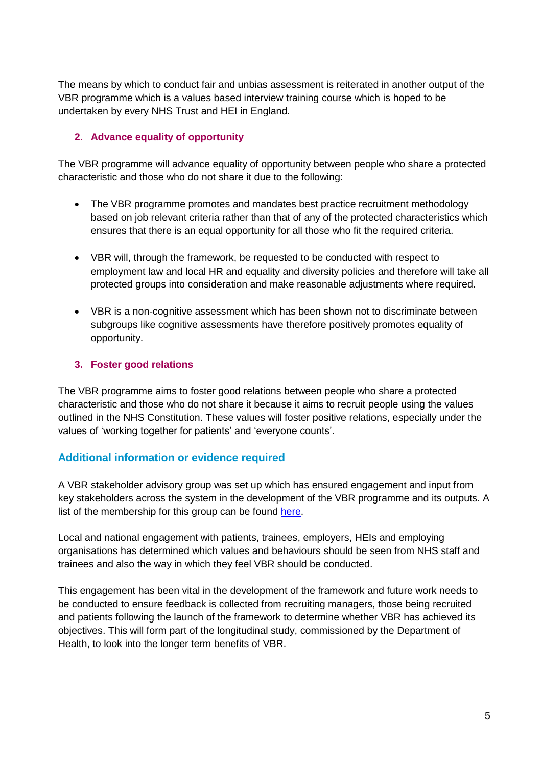The means by which to conduct fair and unbias assessment is reiterated in another output of the VBR programme which is a values based interview training course which is hoped to be undertaken by every NHS Trust and HEI in England.

## **2. Advance equality of opportunity**

The VBR programme will advance equality of opportunity between people who share a protected characteristic and those who do not share it due to the following:

- The VBR programme promotes and mandates best practice recruitment methodology based on job relevant criteria rather than that of any of the protected characteristics which ensures that there is an equal opportunity for all those who fit the required criteria.
- VBR will, through the framework, be requested to be conducted with respect to employment law and local HR and equality and diversity policies and therefore will take all protected groups into consideration and make reasonable adjustments where required.
- VBR is a non-cognitive assessment which has been shown not to discriminate between subgroups like cognitive assessments have therefore positively promotes equality of opportunity.

#### **3. Foster good relations**

The VBR programme aims to foster good relations between people who share a protected characteristic and those who do not share it because it aims to recruit people using the values outlined in the NHS Constitution. These values will foster positive relations, especially under the values of 'working together for patients' and 'everyone counts'.

## **Additional information or evidence required**

A VBR stakeholder advisory group was set up which has ensured engagement and input from key stakeholders across the system in the development of the VBR programme and its outputs. A list of the membership for this group can be found [here.](http://hee.nhs.uk/work-programmes/values-based-recruitment/vbr-stakeholder-advisory-group/)

Local and national engagement with patients, trainees, employers, HEIs and employing organisations has determined which values and behaviours should be seen from NHS staff and trainees and also the way in which they feel VBR should be conducted.

This engagement has been vital in the development of the framework and future work needs to be conducted to ensure feedback is collected from recruiting managers, those being recruited and patients following the launch of the framework to determine whether VBR has achieved its objectives. This will form part of the longitudinal study, commissioned by the Department of Health, to look into the longer term benefits of VBR.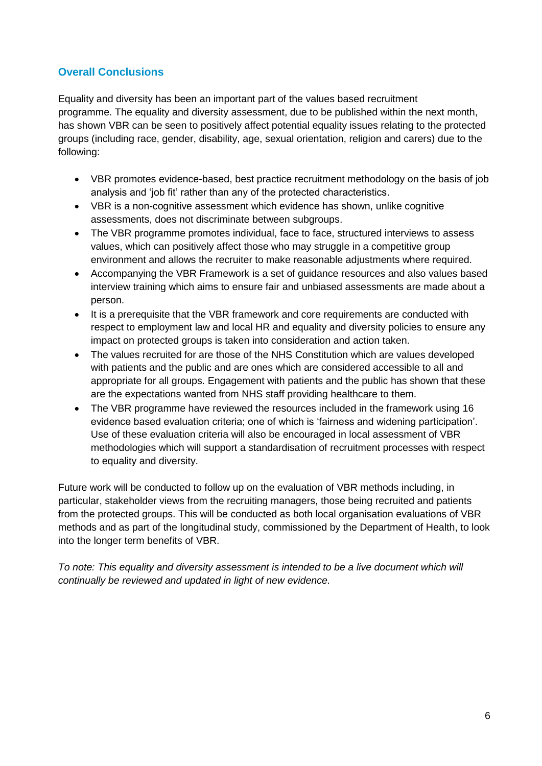## **Overall Conclusions**

Equality and diversity has been an important part of the values based recruitment programme. The equality and diversity assessment, due to be published within the next month, has shown VBR can be seen to positively affect potential equality issues relating to the protected groups (including race, gender, disability, age, sexual orientation, religion and carers) due to the following:

- VBR promotes evidence-based, best practice recruitment methodology on the basis of job analysis and 'job fit' rather than any of the protected characteristics.
- VBR is a non-cognitive assessment which evidence has shown, unlike cognitive assessments, does not discriminate between subgroups.
- The VBR programme promotes individual, face to face, structured interviews to assess values, which can positively affect those who may struggle in a competitive group environment and allows the recruiter to make reasonable adjustments where required.
- Accompanying the VBR Framework is a set of guidance resources and also values based interview training which aims to ensure fair and unbiased assessments are made about a person.
- It is a prerequisite that the VBR framework and core requirements are conducted with respect to employment law and local HR and equality and diversity policies to ensure any impact on protected groups is taken into consideration and action taken.
- The values recruited for are those of the NHS Constitution which are values developed with patients and the public and are ones which are considered accessible to all and appropriate for all groups. Engagement with patients and the public has shown that these are the expectations wanted from NHS staff providing healthcare to them.
- The VBR programme have reviewed the resources included in the framework using 16 evidence based evaluation criteria; one of which is 'fairness and widening participation'. Use of these evaluation criteria will also be encouraged in local assessment of VBR methodologies which will support a standardisation of recruitment processes with respect to equality and diversity.

Future work will be conducted to follow up on the evaluation of VBR methods including, in particular, stakeholder views from the recruiting managers, those being recruited and patients from the protected groups. This will be conducted as both local organisation evaluations of VBR methods and as part of the longitudinal study, commissioned by the Department of Health, to look into the longer term benefits of VBR.

*To note: This equality and diversity assessment is intended to be a live document which will continually be reviewed and updated in light of new evidence.*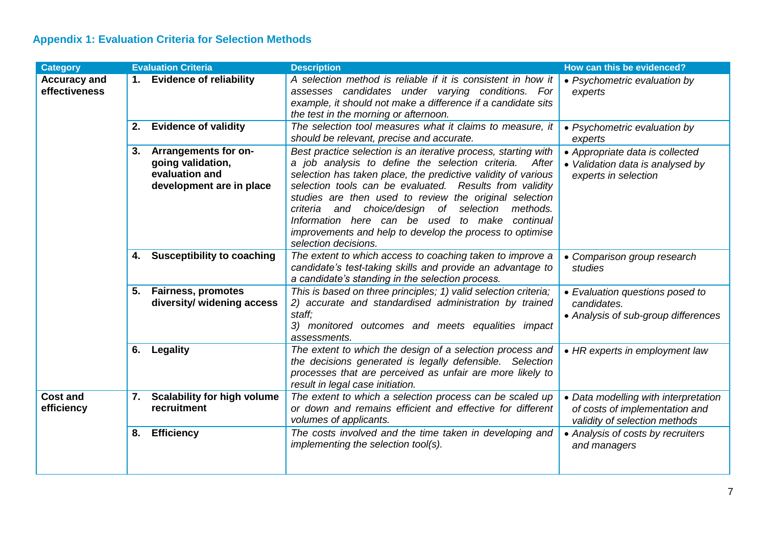# **Appendix 1: Evaluation Criteria for Selection Methods**

| <b>Category</b>                      |    | <b>Evaluation Criteria</b>                                                              | <b>Description</b>                                                                                                                                                                                                                                                                                                                                                                                                                                                                                             | How can this be evidenced?                                                                              |
|--------------------------------------|----|-----------------------------------------------------------------------------------------|----------------------------------------------------------------------------------------------------------------------------------------------------------------------------------------------------------------------------------------------------------------------------------------------------------------------------------------------------------------------------------------------------------------------------------------------------------------------------------------------------------------|---------------------------------------------------------------------------------------------------------|
| <b>Accuracy and</b><br>effectiveness |    | 1. Evidence of reliability                                                              | A selection method is reliable if it is consistent in how it<br>assesses candidates under varying conditions. For<br>example, it should not make a difference if a candidate sits<br>the test in the morning or afternoon.                                                                                                                                                                                                                                                                                     | • Psychometric evaluation by<br>experts                                                                 |
|                                      | 2. | <b>Evidence of validity</b>                                                             | The selection tool measures what it claims to measure, it<br>should be relevant, precise and accurate.                                                                                                                                                                                                                                                                                                                                                                                                         | • Psychometric evaluation by<br>experts                                                                 |
|                                      | 3. | Arrangements for on-<br>going validation,<br>evaluation and<br>development are in place | Best practice selection is an iterative process, starting with<br>a job analysis to define the selection criteria.<br>After<br>selection has taken place, the predictive validity of various<br>selection tools can be evaluated. Results from validity<br>studies are then used to review the original selection<br>criteria and choice/design of selection<br>methods.<br>Information here can be used to make continual<br>improvements and help to develop the process to optimise<br>selection decisions. | • Appropriate data is collected<br>• Validation data is analysed by<br>experts in selection             |
|                                      | 4. | <b>Susceptibility to coaching</b>                                                       | The extent to which access to coaching taken to improve a<br>candidate's test-taking skills and provide an advantage to<br>a candidate's standing in the selection process.                                                                                                                                                                                                                                                                                                                                    | • Comparison group research<br>studies                                                                  |
|                                      | 5. | <b>Fairness, promotes</b><br>diversity/ widening access                                 | This is based on three principles; 1) valid selection criteria;<br>2) accurate and standardised administration by trained<br>staff;<br>3) monitored outcomes and meets equalities impact<br>assessments.                                                                                                                                                                                                                                                                                                       | • Evaluation questions posed to<br>candidates.<br>• Analysis of sub-group differences                   |
|                                      | 6. | <b>Legality</b>                                                                         | The extent to which the design of a selection process and<br>the decisions generated is legally defensible. Selection<br>processes that are perceived as unfair are more likely to<br>result in legal case initiation.                                                                                                                                                                                                                                                                                         | • HR experts in employment law                                                                          |
| <b>Cost and</b><br>efficiency        | 7. | <b>Scalability for high volume</b><br>recruitment                                       | The extent to which a selection process can be scaled up<br>or down and remains efficient and effective for different<br>volumes of applicants.                                                                                                                                                                                                                                                                                                                                                                | • Data modelling with interpretation<br>of costs of implementation and<br>validity of selection methods |
|                                      | 8. | <b>Efficiency</b>                                                                       | The costs involved and the time taken in developing and<br>implementing the selection tool(s).                                                                                                                                                                                                                                                                                                                                                                                                                 | • Analysis of costs by recruiters<br>and managers                                                       |